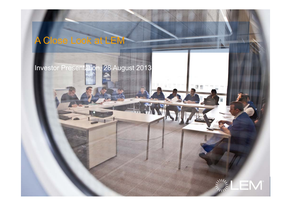# A Close Look at LEM

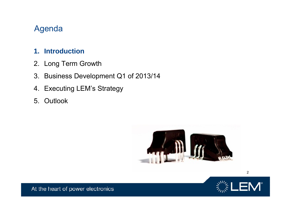## Agenda

#### **1. Introduction**

- 2. Long Term Growth
- 3. Business Development Q1 of 2013/14
- 4. Executing LEM's Strategy
- 5. Outlook





2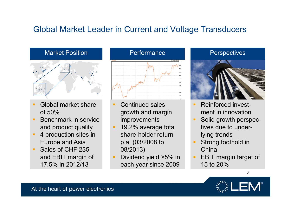## Global Market Leader in Current and Voltage Transducers



- Global market share of 50%
- Benchmark in service and product quality
- 4 production sites in Europe and Asia
- Sales of CHF 235 and EBIT margin of 17.5% in 2012/13



- Continued sales growth and margin improvements
- 19.2% average total share-holder return p.a. (03/2008 to 08/2013)
- Dividend yield >5% in each year since 2009



- Reinforced investment in innovation
- Solid growth perspectives due to underlying trends
- Strong foothold in China
- EBIT margin target of 15 to 20%



3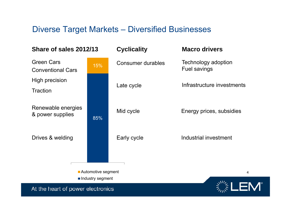### Diverse Target Markets – Diversified Businesses

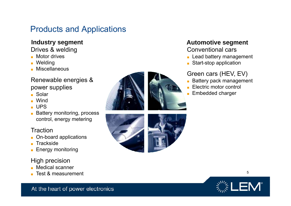## Products and Applications

Drives & welding

- Motor drives
- Welding
- Miscellaneous

#### Renewable energies & power supplies

- Solar
- Wind
- UPS
- Battery monitoring, process control, energy metering

#### **Traction**

- On-board applications
- **Trackside**
- Energy monitoring

#### High precision

- Medical scanner
- Test & measurement



## **Industry segment Automotive segment**

#### Conventional cars

- Lead battery management
- Start-stop application

#### Green cars (HEV, EV)

- Battery pack management
- Electric motor control
- Embedded charger





5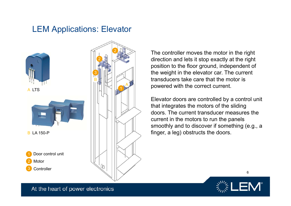### LEM Applications: Elevator





The controller moves the motor in the right direction and lets it stop exactly at the right position to the floor ground, independent of the weight in the elevator car. The current transducers take care that the motor is powered with the correct current.

Elevator doors are controlled by a control unit that integrates the motors of the sliding doors. The current transducer measures the current in the motors to run the panels smoothly and to discover if something (e.g., a finger, a leg) obstructs the doors.



6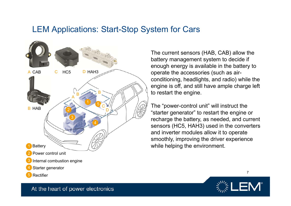### LEM Applications: Start-Stop System for Cars



The current sensors (HAB, CAB) allow the battery management system to decide if enough energy is available in the battery to operate the accessories (such as airconditioning, headlights, and radio) while the engine is off, and still have ample charge left to restart the engine.

The "power-control unit" will instruct the "starter generator" to restart the engine or recharge the battery, as needed, and current sensors (HC5, HAH3) used in the converters and inverter modules allow it to operate smoothly, improving the driver experience while helping the environment.

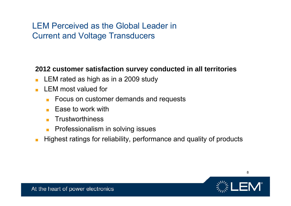## LEM Perceived as the Global Leader in Current and Voltage Transducers

#### **2012 customer satisfaction survey conducted in all territories**

- LEM rated as high as in a 2009 study
- LEM most valued for
	- Focus on customer demands and requests
	- Ease to work with
	- ■**Trustworthiness**
	- Professionalism in solving issues
- ■Highest ratings for reliability, performance and quality of products



8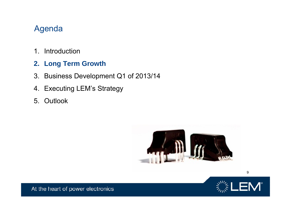## Agenda

- 1. Introduction
- **2. Long Term Growth**
- 3. Business Development Q1 of 2013/14
- 4. Executing LEM's Strategy
- 5. Outlook





9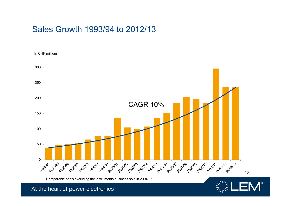## Sales Growth 1993/94 to 2012/13

In CHF millions

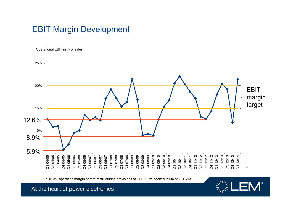## EBIT Margin Development

Operational EBIT in % of sales



\* 15.3% operating margin before restructuring provisions of CHF 1.9m booked in Q4 of 2012/13

**Sulles**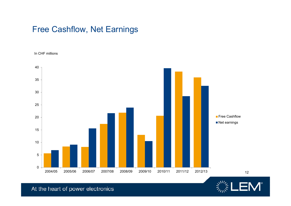## Free Cashflow, Net Earnings

In CHF millions



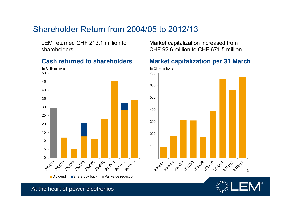## Shareholder Return from 2004/05 to 2012/13

LEM returned CHF 213.1 million to shareholders



Market capitalization increased from CHF 92.6 million to CHF 671.5 million

#### **Cash returned to shareholders Market capitalization per 31 March**



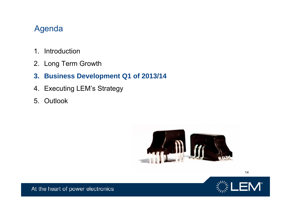## Agenda

- 1. Introduction
- 2. Long Term Growth
- **3. Business Development Q1 of 2013/14**
- 4. Executing LEM's Strategy
- 5. Outlook





14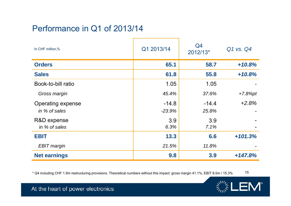## Performance in Q1 of 2013/14

| In CHF million,%    | Q1 2013/14 | Q4<br>2012/13* | Q1 vs. Q4  |
|---------------------|------------|----------------|------------|
| <b>Orders</b>       | 65.1       | 58.7           | $+10.8%$   |
| <b>Sales</b>        | 61.8       | 55.8           | $+10.8%$   |
| Book-to-bill ratio  | 1.05       | 1.05           |            |
| Gross margin        | 45.4%      | 37.6%          | $+7.8%$ pt |
| Operating expense   | $-14.8$    | $-14.4$        | $+2.8%$    |
| in % of sales       | $-23.9%$   | 25.8%          |            |
| R&D expense         | 3.9        | 3.9            |            |
| in % of sales       | 6.3%       | 7.1%           |            |
| <b>EBIT</b>         | 13.3       | 6.6            | $+101.3%$  |
| <b>EBIT</b> margin  | 21.5%      | 11.8%          |            |
| <b>Net earnings</b> | 9.8        | 3.9            | $+147.8%$  |

\* Q4 including CHF 1.9m restructuring provisions. Theoretical numbers without this impact: gross margin 41.1%, EBIT 8.5m / 15.3 % 15



 $\frac{1}{2} \sum_{i=1}^{N+1} \mathbf{L} \mathbf{E} \mathbf{M}^{\circ}$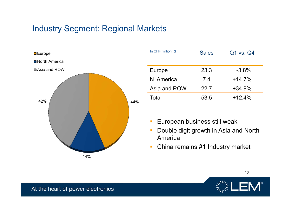## Industry Segment: Regional Markets



| In CHF million, % | <b>Sales</b> | Q1 vs. Q4 |
|-------------------|--------------|-----------|
| Europe            | 23.3         | $-3.8%$   |
| N. America        | 7.4          | $+14.7%$  |
| Asia and ROW      | 22.7         | $+34.9%$  |
| Total             | 53.5         | $+12.4%$  |

- $\mathcal{L}_{\mathcal{A}}$ European business still weak
- $\mathcal{L}_{\mathcal{A}}$  Double digit growth in Asia and North America
- $\mathcal{L}_{\mathcal{A}}$ China remains #1 Industry market

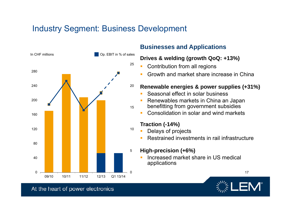## Industry Segment: Business Development



#### **Businesses and Applications**

#### **Drives & welding (growth QoQ: +13%)**

- Contribution from all regions
- Growth and market share increase in China

#### **Renewable energies & power supplies (+31%)**

- Seasonal effect in solar business
- L. Renewables markets in China an Japan
- benefitting from government subsidies
- L. Consolidation in solar and wind markets

#### **Traction (-14%)**

- $\mathcal{L}_{\mathcal{A}}$  Delays of projects
	- L Restrained investments in rail infrastructure
- **High-precision (+6%)** 
	- Г Increased market share in US medical applications



17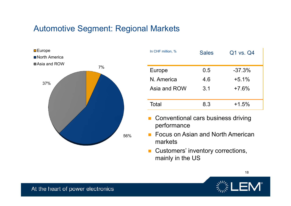## Automotive Segment: Regional Markets



| In CHF million, % | <b>Sales</b> | Q1 vs. Q4 |
|-------------------|--------------|-----------|
| Europe            | 0.5          | $-37.3%$  |
| N. America        | 4.6          | $+5.1%$   |
| Asia and ROW      | 3.1          | $+7.6%$   |
| Total             | 8.3          | $+1.5%$   |

- $\mathcal{C}^{\mathcal{A}}$  Conventional cars business driving performance
- $\mathcal{L}_{\mathcal{A}}$  Focus on Asian and North American markets
- $\mathcal{L}_{\mathcal{A}}$  Customers' inventory corrections, mainly in the US



18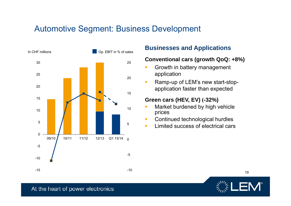## Automotive Segment: Business Development



#### **Conventional cars (growth QoQ: +8%)**

- $\blacksquare$  Growth in battery management application
- $\mathcal{L}$  Ramp-up of LEM's new start-stopapplication faster than expected

#### **Green cars (HEV, EV) (-32%)**

- × Market burdened by high vehicle prices
- $\mathcal{C}$ Continued technological hurdles
- $\mathbf{r}$ Limited success of electrical cars



19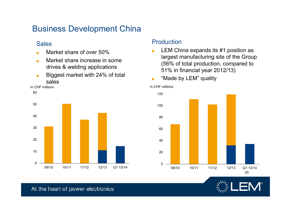## Business Development China

#### Sales

- ■Market share of over 50%
- ■ Market share increase in some drives & welding applications
- ■ Biggest market with 24% of total sales

60



#### Production

- ■ LEM China expands its #1 position as largest manufacturing site of the Group (56% of total production, compared to 51% in financial year 2012/13)
- ■"Made by LEM" quality



In CHF millions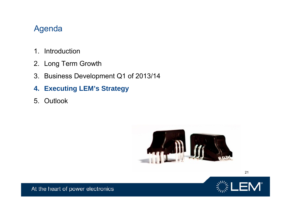## Agenda

- 1. Introduction
- 2. Long Term Growth
- 3. Business Development Q1 of 2013/14
- **4. Executing LEM's Strategy**
- 5. Outlook





21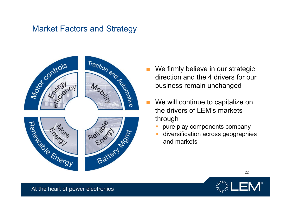## Market Factors and Strategy



- ■direction and the 4 drivers for our business remain unchanged
- ■ We will continue to capitalize on the drivers of LEM's markets through
	- pure play components company
	- $\mathbb{R}^2$  diversification across geographies and markets



22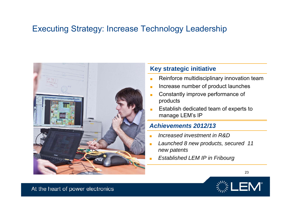## Executing Strategy: Increase Technology Leadership



#### **Key strategic initiative**

- ■Reinforce multidisciplinary innovation team
- ■Increase number of product launches
- Constantly improve performance of products
- ■ Establish dedicated team of experts to manage LEM's IP

#### *Achievements 2012/13*

- ■*Increased investment in R&D*
- ■ *Launched 8 new products, secured 11 new patents*
- *Established LEM IP in Fribourg*

![](_page_22_Picture_11.jpeg)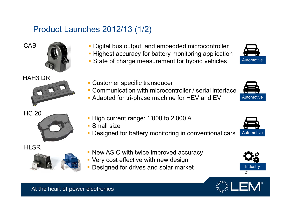## Product Launches 2012/13 (1/2)

![](_page_23_Picture_1.jpeg)

![](_page_23_Picture_2.jpeg)

HAH3 DR

![](_page_23_Picture_4.jpeg)

HI SR

![](_page_23_Picture_6.jpeg)

- Digital bus output and embedded microcontroller
- **Highest accuracy for battery monitoring application**
- State of charge measurement for hybrid vehicles
- **Customer specific transducer**
- Communication with microcontroller / serial interface
- **Adapted for tri-phase machine for HEV and EV**
- **High current range: 1'000 to 2'000 A**
- **Small size**
- $\mathcal{L}_{\mathcal{A}}$ Designed for battery monitoring in conventional cars
- **New ASIC with twice improved accuracy**
- Very cost effective with new design
- **Designed for drives and solar market**

![](_page_23_Picture_19.jpeg)

Automotive

![](_page_23_Picture_20.jpeg)

![](_page_23_Picture_21.jpeg)

![](_page_23_Picture_22.jpeg)

![](_page_23_Picture_23.jpeg)

**Automotive**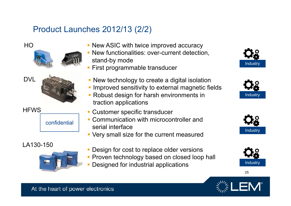## Product Launches 2012/13 (2/2)

![](_page_24_Picture_1.jpeg)

#### LA130-150

![](_page_24_Picture_3.jpeg)

- New ASIC with twice improved accuracy
- New functionalities: over-current detection, stand-by mode
- **First programmable transducer**
- **New technology to create a digital isolation**
- **Improved sensitivity to external magnetic fields**
- Robust design for harsh environments in traction applications
- $\mathcal{C}$ Customer specific transducer
- **Communication with microcontroller and** serial interface
- Very small size for the current measured
- Design for cost to replace older versions
- **Proven technology based on closed loop hall**
- Designed for industrial applications **Industry** Industry

![](_page_24_Picture_16.jpeg)

![](_page_24_Picture_17.jpeg)

![](_page_24_Picture_18.jpeg)

![](_page_24_Picture_19.jpeg)

25

![](_page_24_Picture_20.jpeg)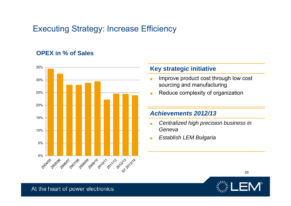## Executing Strategy: Increase Efficiency

#### **OPEX in % of Sales**

![](_page_25_Figure_2.jpeg)

#### **Key strategic initiative**

- ■ Improve product cost through low cost sourcing and manufacturing
- ■Reduce complexity of organization

#### *Achievements 2012/13*

- ■ *Centralized high precision business in Geneva*
- ■*Establish LEM Bulgaria*

![](_page_25_Picture_9.jpeg)

26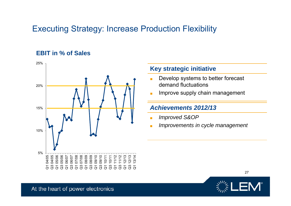## Executing Strategy: Increase Production Flexibility

#### **EBIT in % of Sales**

![](_page_26_Figure_2.jpeg)

#### **Key strategic initiative**

- ■ Develop systems to better forecast demand fluctuations
- Improve supply chain management

#### *Achievements 2012/13*

- *Improved S&OP*
- *Improvements in cycle management*

![](_page_26_Picture_9.jpeg)

27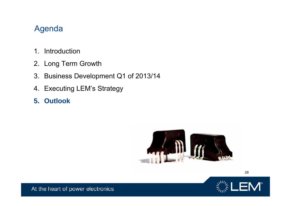## Agenda

- 1. Introduction
- 2. Long Term Growth
- 3. Business Development Q1 of 2013/14
- 4. Executing LEM's Strategy
- **5. Outlook**

![](_page_27_Picture_6.jpeg)

![](_page_27_Picture_7.jpeg)

28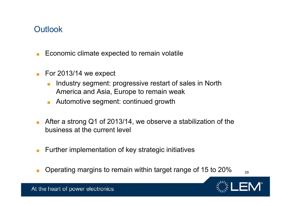## **Outlook**

- ■Economic climate expected to remain volatile
- For 2013/14 we expect
	- ■ Industry segment: progressive restart of sales in North America and Asia, Europe to remain weak
	- Automotive segment: continued growth
- After a strong Q1 of 2013/14, we observe a stabilization of the business at the current level
- ■Further implementation of key strategic initiatives
- ■Operating margins to remain within target range of 15 to 20%  $_{29}$

![](_page_28_Picture_8.jpeg)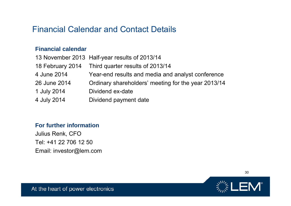## Financial Calendar and Contact Details

#### **Financial calendar**

|              | 13 November 2013 Half-year results of 2013/14       |
|--------------|-----------------------------------------------------|
|              | 18 February 2014 Third quarter results of 2013/14   |
| 4 June 2014  | Year-end results and media and analyst conference   |
| 26 June 2014 | Ordinary shareholders' meeting for the year 2013/14 |
| 1 July 2014  | Dividend ex-date                                    |
| 4 July 2014  | Dividend payment date                               |

#### **For further information**

Julius Renk, CFO Tel: +41 22 706 12 50 Email: investor@lem.com

![](_page_29_Picture_5.jpeg)

30